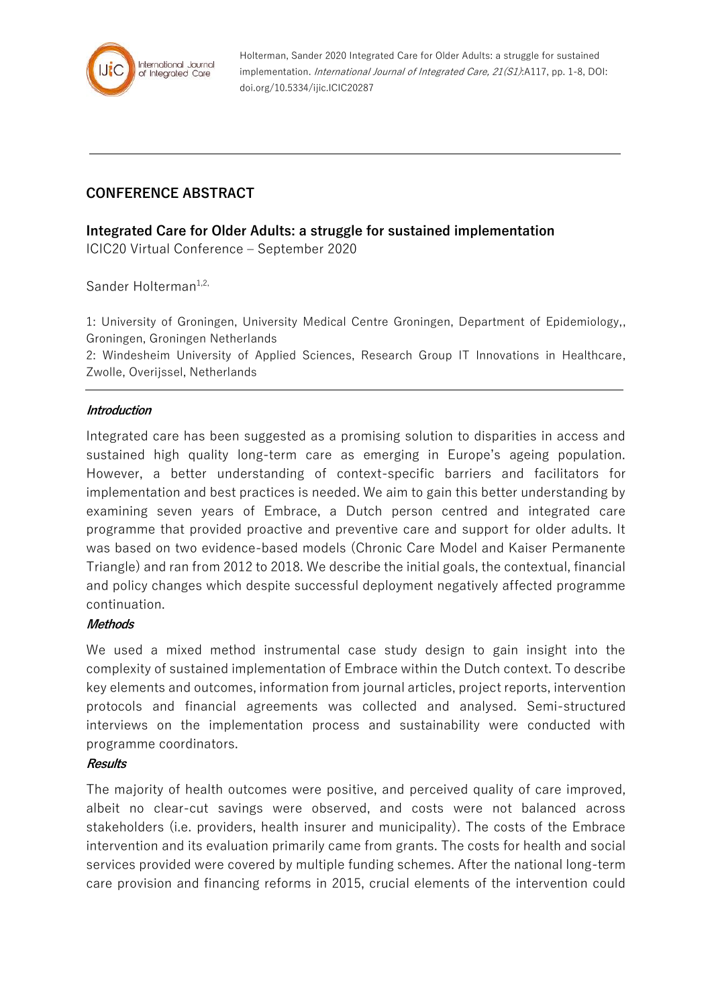

Holterman, Sander 2020 Integrated Care for Older Adults: a struggle for sustained implementation. International Journal of Integrated Care, 21(S1):A117, pp. 1-8, DOI: doi.org/10.5334/ijic.ICIC20287

## **CONFERENCE ABSTRACT**

# **Integrated Care for Older Adults: a struggle for sustained implementation**

ICIC20 Virtual Conference – September 2020

Sander Holterman<sup>1,2,</sup>

1: University of Groningen, University Medical Centre Groningen, Department of Epidemiology,, Groningen, Groningen Netherlands

2: Windesheim University of Applied Sciences, Research Group IT Innovations in Healthcare, Zwolle, Overijssel, Netherlands

### **Introduction**

Integrated care has been suggested as a promising solution to disparities in access and sustained high quality long-term care as emerging in Europe's ageing population. However, a better understanding of context-specific barriers and facilitators for implementation and best practices is needed. We aim to gain this better understanding by examining seven years of Embrace, a Dutch person centred and integrated care programme that provided proactive and preventive care and support for older adults. It was based on two evidence-based models (Chronic Care Model and Kaiser Permanente Triangle) and ran from 2012 to 2018. We describe the initial goals, the contextual, financial and policy changes which despite successful deployment negatively affected programme continuation.

### **Methods**

We used a mixed method instrumental case study design to gain insight into the complexity of sustained implementation of Embrace within the Dutch context. To describe key elements and outcomes, information from journal articles, project reports, intervention protocols and financial agreements was collected and analysed. Semi-structured interviews on the implementation process and sustainability were conducted with programme coordinators.

#### **Results**

The majority of health outcomes were positive, and perceived quality of care improved, albeit no clear-cut savings were observed, and costs were not balanced across stakeholders (i.e. providers, health insurer and municipality). The costs of the Embrace intervention and its evaluation primarily came from grants. The costs for health and social services provided were covered by multiple funding schemes. After the national long-term care provision and financing reforms in 2015, crucial elements of the intervention could